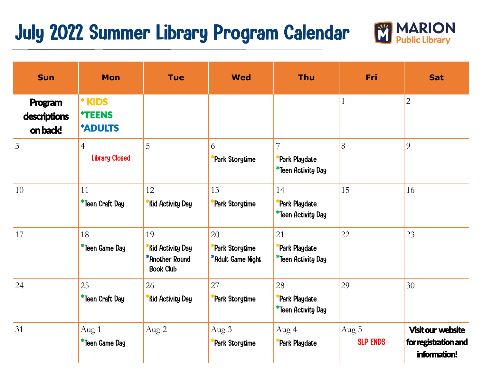## July 2022 Summer Library Program Calendar



| <b>Sun</b>                          | <b>Mon</b>                                       | <b>Tue</b>                                                   | <b>Wed</b>                                        | <b>Thu</b>                                       | Fri                      | <b>Sat</b>                                                       |
|-------------------------------------|--------------------------------------------------|--------------------------------------------------------------|---------------------------------------------------|--------------------------------------------------|--------------------------|------------------------------------------------------------------|
| Program<br>descriptions<br>on back! | * KIDS<br><i><b>*TEENS</b></i><br><b>*ADULTS</b> |                                                              |                                                   |                                                  | $\mathbf{1}$             | $\overline{2}$                                                   |
| $\overline{3}$                      | $\overline{4}$<br><b>Library Closed</b>          | 5                                                            | 6<br>Park Storytime                               | 7<br>Park Playdate<br>*Teen Activity Day         | 8                        | 9                                                                |
| 10                                  | 11<br>*Teen Craft Day                            | 12<br>Kid Activity Day                                       | 13<br><b>*Park Storytime</b>                      | 14<br>Park Playdate<br>*Teen Activity Day        | 15                       | 16                                                               |
| 17                                  | 18<br>*Teen Game Day                             | 19<br>Kid Activity Day<br>*Another Round<br><b>Book Club</b> | 20<br><b>*Park Storytime</b><br>*Adult Game Night | 21<br><b>Park Playdate</b><br>*Teen Activity Day | 22                       | 23                                                               |
| 24                                  | 25<br>*Teen Craft Day                            | 26<br>Kid Activity Day                                       | 27<br>*Park Storytime                             | 28<br>Park Playdate<br>*Teen Activity Day        | 29                       | 30                                                               |
| 31                                  | Aug 1<br>*Teen Game Day                          | Aug 2                                                        | Aug 3<br><b>Park Storytime</b>                    | Aug 4<br>*Park Playdate                          | Aug 5<br><b>SLP ENDS</b> | <b>Visit our website</b><br>for registration and<br>information! |